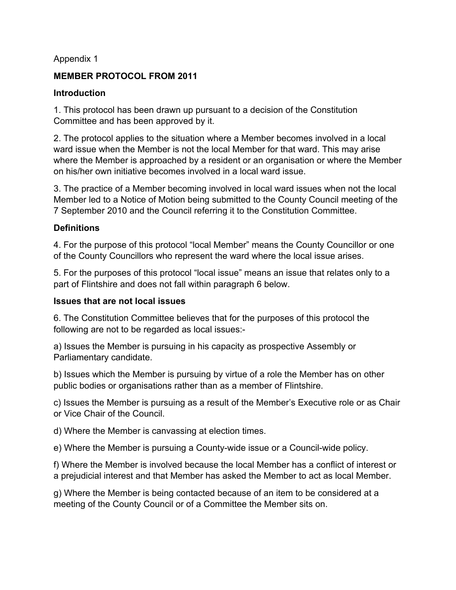### Appendix 1

### **MEMBER PROTOCOL FROM 2011**

### **Introduction**

1. This protocol has been drawn up pursuant to a decision of the Constitution Committee and has been approved by it.

2. The protocol applies to the situation where a Member becomes involved in a local ward issue when the Member is not the local Member for that ward. This may arise where the Member is approached by a resident or an organisation or where the Member on his/her own initiative becomes involved in a local ward issue.

3. The practice of a Member becoming involved in local ward issues when not the local Member led to a Notice of Motion being submitted to the County Council meeting of the 7 September 2010 and the Council referring it to the Constitution Committee.

# **Definitions**

4. For the purpose of this protocol "local Member" means the County Councillor or one of the County Councillors who represent the ward where the local issue arises.

5. For the purposes of this protocol "local issue" means an issue that relates only to a part of Flintshire and does not fall within paragraph 6 below.

#### **Issues that are not local issues**

6. The Constitution Committee believes that for the purposes of this protocol the following are not to be regarded as local issues:-

a) Issues the Member is pursuing in his capacity as prospective Assembly or Parliamentary candidate.

b) Issues which the Member is pursuing by virtue of a role the Member has on other public bodies or organisations rather than as a member of Flintshire.

c) Issues the Member is pursuing as a result of the Member's Executive role or as Chair or Vice Chair of the Council.

d) Where the Member is canvassing at election times.

e) Where the Member is pursuing a County-wide issue or a Council-wide policy.

f) Where the Member is involved because the local Member has a conflict of interest or a prejudicial interest and that Member has asked the Member to act as local Member.

g) Where the Member is being contacted because of an item to be considered at a meeting of the County Council or of a Committee the Member sits on.